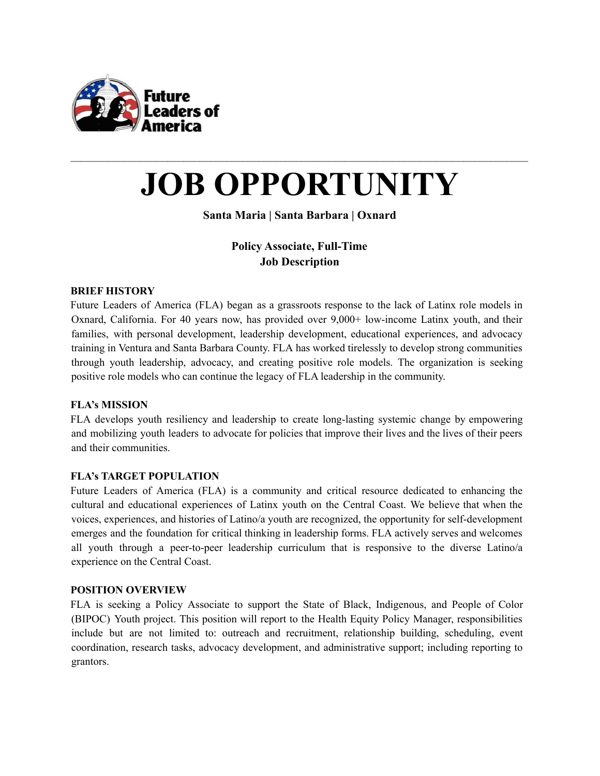

# **JOB OPPORTUNITY**

 $\mathcal{L}_\text{max} = \mathcal{L}_\text{max} = \mathcal{L}_\text{max} = \mathcal{L}_\text{max} = \mathcal{L}_\text{max} = \mathcal{L}_\text{max} = \mathcal{L}_\text{max} = \mathcal{L}_\text{max} = \mathcal{L}_\text{max} = \mathcal{L}_\text{max} = \mathcal{L}_\text{max} = \mathcal{L}_\text{max} = \mathcal{L}_\text{max} = \mathcal{L}_\text{max} = \mathcal{L}_\text{max} = \mathcal{L}_\text{max} = \mathcal{L}_\text{max} = \mathcal{L}_\text{max} = \mathcal{$ 

# **Santa Maria | Santa Barbara | Oxnard**

# **Policy Associate, Full-Time Job Description**

# **BRIEF HISTORY**

Future Leaders of America (FLA) began as a grassroots response to the lack of Latinx role models in Oxnard, California. For 40 years now, has provided over 9,000+ low-income Latinx youth, and their families, with personal development, leadership development, educational experiences, and advocacy training in Ventura and Santa Barbara County. FLA has worked tirelessly to develop strong communities through youth leadership, advocacy, and creating positive role models. The organization is seeking positive role models who can continue the legacy of FLA leadership in the community.

#### **FLA's MISSION**

FLA develops youth resiliency and leadership to create long-lasting systemic change by empowering and mobilizing youth leaders to advocate for policies that improve their lives and the lives of their peers and their communities.

#### **FLA's TARGET POPULATION**

Future Leaders of America (FLA) is a community and critical resource dedicated to enhancing the cultural and educational experiences of Latinx youth on the Central Coast. We believe that when the voices, experiences, and histories of Latino/a youth are recognized, the opportunity for self-development emerges and the foundation for critical thinking in leadership forms. FLA actively serves and welcomes all youth through a peer-to-peer leadership curriculum that is responsive to the diverse Latino/a experience on the Central Coast.

#### **POSITION OVERVIEW**

FLA is seeking a Policy Associate to support the State of Black, Indigenous, and People of Color (BIPOC) Youth project. This position will report to the Health Equity Policy Manager, responsibilities include but are not limited to: outreach and recruitment, relationship building, scheduling, event coordination, research tasks, advocacy development, and administrative support; including reporting to grantors.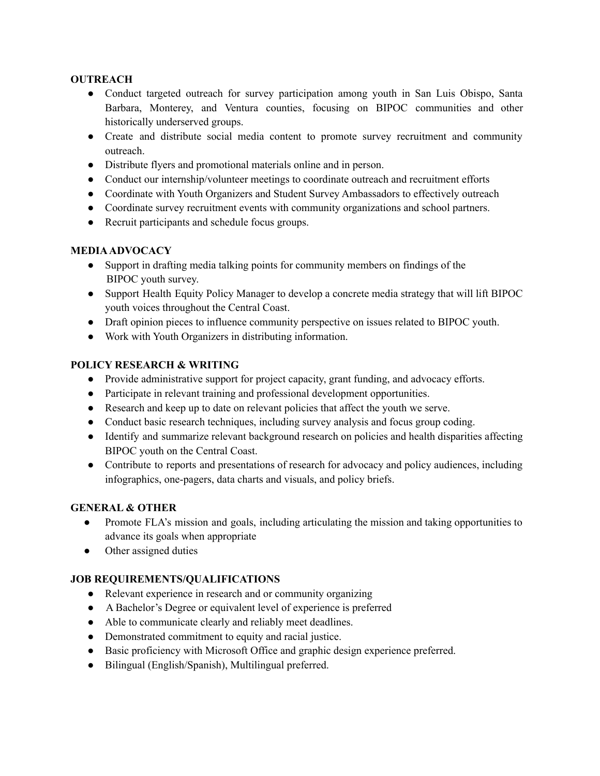## **OUTREACH**

- Conduct targeted outreach for survey participation among youth in San Luis Obispo, Santa Barbara, Monterey, and Ventura counties, focusing on BIPOC communities and other historically underserved groups.
- Create and distribute social media content to promote survey recruitment and community outreach.
- Distribute flyers and promotional materials online and in person.
- Conduct our internship/volunteer meetings to coordinate outreach and recruitment efforts
- Coordinate with Youth Organizers and Student Survey Ambassadors to effectively outreach
- Coordinate survey recruitment events with community organizations and school partners.
- Recruit participants and schedule focus groups.

# **MEDIAADVOCACY**

- Support in drafting media talking points for community members on findings of the BIPOC youth survey.
- Support Health Equity Policy Manager to develop a concrete media strategy that will lift BIPOC youth voices throughout the Central Coast.
- Draft opinion pieces to influence community perspective on issues related to BIPOC youth.
- Work with Youth Organizers in distributing information.

# **POLICY RESEARCH & WRITING**

- Provide administrative support for project capacity, grant funding, and advocacy efforts.
- Participate in relevant training and professional development opportunities.
- Research and keep up to date on relevant policies that affect the youth we serve.
- Conduct basic research techniques, including survey analysis and focus group coding.
- Identify and summarize relevant background research on policies and health disparities affecting BIPOC youth on the Central Coast.
- Contribute to reports and presentations of research for advocacy and policy audiences, including infographics, one-pagers, data charts and visuals, and policy briefs.

# **GENERAL & OTHER**

- Promote FLA's mission and goals, including articulating the mission and taking opportunities to advance its goals when appropriate
- Other assigned duties

# **JOB REQUIREMENTS/QUALIFICATIONS**

- Relevant experience in research and or community organizing
- A Bachelor's Degree or equivalent level of experience is preferred
- Able to communicate clearly and reliably meet deadlines.
- Demonstrated commitment to equity and racial justice.
- Basic proficiency with Microsoft Office and graphic design experience preferred.
- Bilingual (English/Spanish), Multilingual preferred.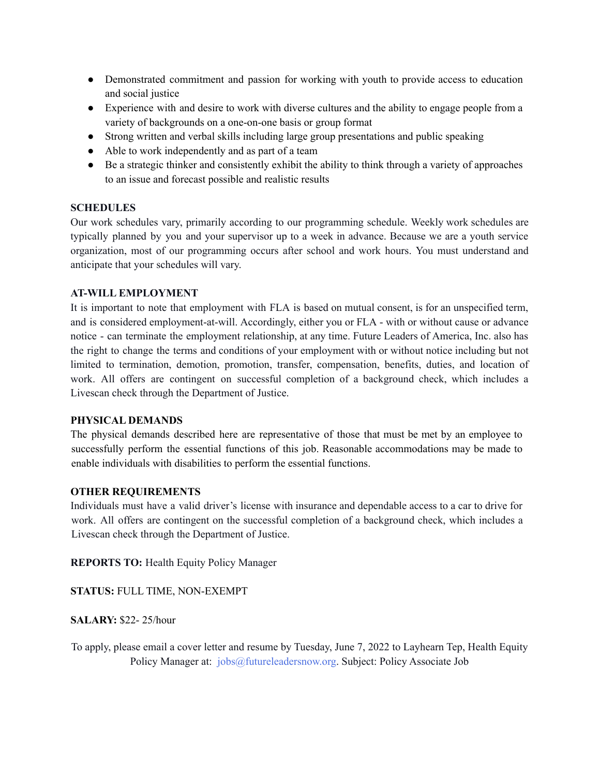- Demonstrated commitment and passion for working with youth to provide access to education and social justice
- Experience with and desire to work with diverse cultures and the ability to engage people from a variety of backgrounds on a one-on-one basis or group format
- Strong written and verbal skills including large group presentations and public speaking
- Able to work independently and as part of a team
- Be a strategic thinker and consistently exhibit the ability to think through a variety of approaches to an issue and forecast possible and realistic results

## **SCHEDULES**

Our work schedules vary, primarily according to our programming schedule. Weekly work schedules are typically planned by you and your supervisor up to a week in advance. Because we are a youth service organization, most of our programming occurs after school and work hours. You must understand and anticipate that your schedules will vary.

## **AT-WILL EMPLOYMENT**

It is important to note that employment with FLA is based on mutual consent, is for an unspecified term, and is considered employment-at-will. Accordingly, either you or FLA - with or without cause or advance notice - can terminate the employment relationship, at any time. Future Leaders of America, Inc. also has the right to change the terms and conditions of your employment with or without notice including but not limited to termination, demotion, promotion, transfer, compensation, benefits, duties, and location of work. All offers are contingent on successful completion of a background check, which includes a Livescan check through the Department of Justice.

#### **PHYSICAL DEMANDS**

The physical demands described here are representative of those that must be met by an employee to successfully perform the essential functions of this job. Reasonable accommodations may be made to enable individuals with disabilities to perform the essential functions.

#### **OTHER REQUIREMENTS**

Individuals must have a valid driver's license with insurance and dependable access to a car to drive for work. All offers are contingent on the successful completion of a background check, which includes a Livescan check through the Department of Justice.

**REPORTS TO:** Health Equity Policy Manager

**STATUS:** FULL TIME, NON-EXEMPT

**SALARY:** \$22- 25/hour

To apply, please email a cover letter and resume by Tuesday, June 7, 2022 to Layhearn Tep, Health Equity Policy Manager at: jobs@futureleadersnow.org. Subject: Policy Associate Job